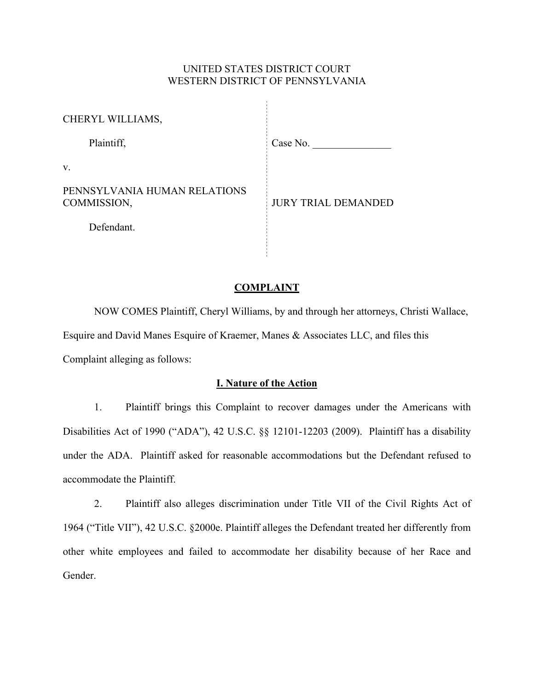## UNITED STATES DISTRICT COURT WESTERN DISTRICT OF PENNSYLVANIA

÷,

| CHERYL WILLIAMS,                            |                            |
|---------------------------------------------|----------------------------|
| Plaintiff,                                  | Case No.                   |
| V.                                          |                            |
| PENNSYLVANIA HUMAN RELATIONS<br>COMMISSION, | <b>JURY TRIAL DEMANDED</b> |
| Defendant.                                  |                            |
|                                             |                            |

### **COMPLAINT**

NOW COMES Plaintiff, Cheryl Williams, by and through her attorneys, Christi Wallace, Esquire and David Manes Esquire of Kraemer, Manes & Associates LLC, and files this Complaint alleging as follows:

## **I. Nature of the Action**

1. Plaintiff brings this Complaint to recover damages under the Americans with Disabilities Act of 1990 ("ADA"), 42 U.S.C. §§ 12101-12203 (2009). Plaintiff has a disability under the ADA. Plaintiff asked for reasonable accommodations but the Defendant refused to accommodate the Plaintiff.

2. Plaintiff also alleges discrimination under Title VII of the Civil Rights Act of 1964 ("Title VII"), 42 U.S.C. §2000e. Plaintiff alleges the Defendant treated her differently from other white employees and failed to accommodate her disability because of her Race and Gender.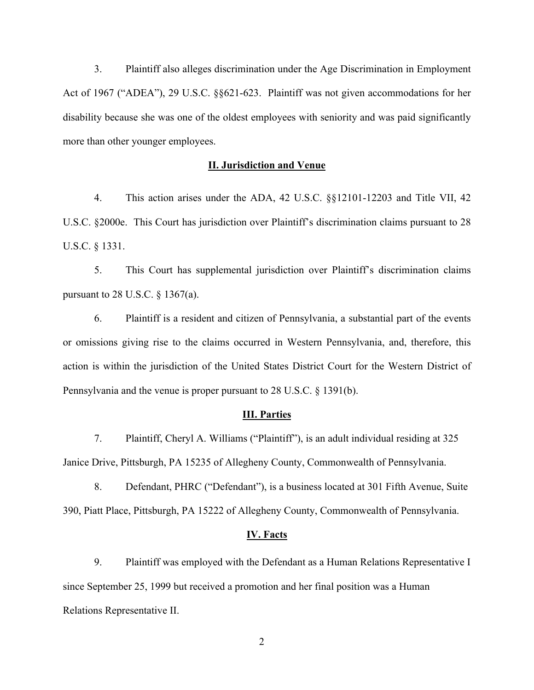3. Plaintiff also alleges discrimination under the Age Discrimination in Employment Act of 1967 ("ADEA"), 29 U.S.C. §§621-623. Plaintiff was not given accommodations for her disability because she was one of the oldest employees with seniority and was paid significantly more than other younger employees.

### **II. Jurisdiction and Venue**

4. This action arises under the ADA, 42 U.S.C. §§12101-12203 and Title VII, 42 U.S.C. §2000e. This Court has jurisdiction over Plaintiff's discrimination claims pursuant to 28 U.S.C. § 1331.

5. This Court has supplemental jurisdiction over Plaintiff's discrimination claims pursuant to 28 U.S.C. § 1367(a).

6. Plaintiff is a resident and citizen of Pennsylvania, a substantial part of the events or omissions giving rise to the claims occurred in Western Pennsylvania, and, therefore, this action is within the jurisdiction of the United States District Court for the Western District of Pennsylvania and the venue is proper pursuant to 28 U.S.C. § 1391(b).

#### **III. Parties**

7. Plaintiff, Cheryl A. Williams ("Plaintiff"), is an adult individual residing at 325 Janice Drive, Pittsburgh, PA 15235 of Allegheny County, Commonwealth of Pennsylvania.

8. Defendant, PHRC ("Defendant"), is a business located at 301 Fifth Avenue, Suite 390, Piatt Place, Pittsburgh, PA 15222 of Allegheny County, Commonwealth of Pennsylvania.

### **IV. Facts**

9. Plaintiff was employed with the Defendant as a Human Relations Representative I since September 25, 1999 but received a promotion and her final position was a Human Relations Representative II.

2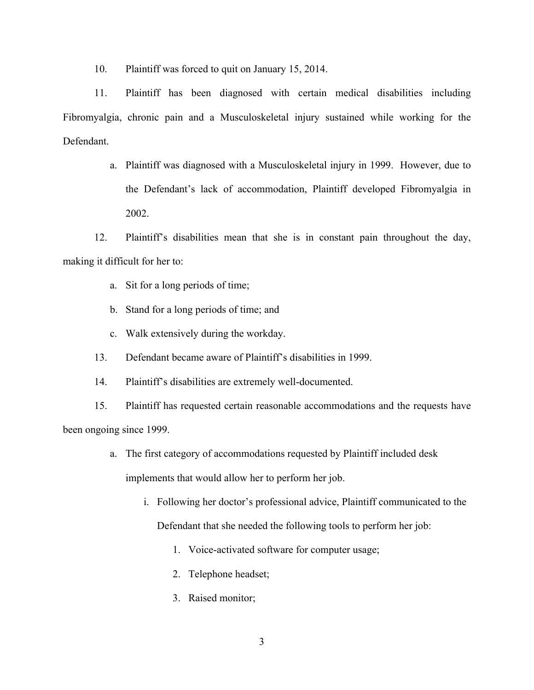10. Plaintiff was forced to quit on January 15, 2014.

11. Plaintiff has been diagnosed with certain medical disabilities including Fibromyalgia, chronic pain and a Musculoskeletal injury sustained while working for the Defendant.

> a. Plaintiff was diagnosed with a Musculoskeletal injury in 1999. However, due to the Defendant's lack of accommodation, Plaintiff developed Fibromyalgia in 2002.

12. Plaintiff's disabilities mean that she is in constant pain throughout the day, making it difficult for her to:

- a. Sit for a long periods of time;
- b. Stand for a long periods of time; and
- c. Walk extensively during the workday.
- 13. Defendant became aware of Plaintiff's disabilities in 1999.
- 14. Plaintiff's disabilities are extremely well-documented.

15. Plaintiff has requested certain reasonable accommodations and the requests have been ongoing since 1999.

- a. The first category of accommodations requested by Plaintiff included desk implements that would allow her to perform her job.
	- i. Following her doctor's professional advice, Plaintiff communicated to the Defendant that she needed the following tools to perform her job:
		- 1. Voice-activated software for computer usage;
		- 2. Telephone headset;
		- 3. Raised monitor;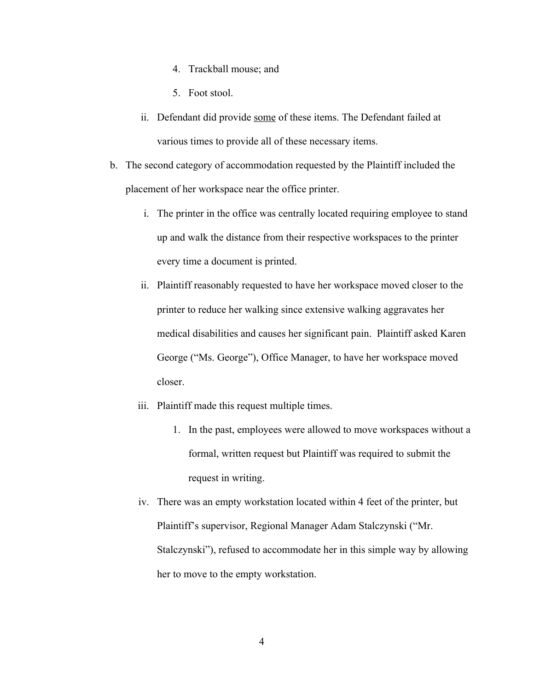- 4. Trackball mouse; and
- 5. Foot stool.
- ii. Defendant did provide some of these items. The Defendant failed at various times to provide all of these necessary items.
- b. The second category of accommodation requested by the Plaintiff included the placement of her workspace near the office printer.
	- i. The printer in the office was centrally located requiring employee to stand up and walk the distance from their respective workspaces to the printer every time a document is printed.
	- ii. Plaintiff reasonably requested to have her workspace moved closer to the printer to reduce her walking since extensive walking aggravates her medical disabilities and causes her significant pain. Plaintiff asked Karen George ("Ms. George"), Office Manager, to have her workspace moved closer.
	- iii. Plaintiff made this request multiple times.
		- 1. In the past, employees were allowed to move workspaces without a formal, written request but Plaintiff was required to submit the request in writing.
	- iv. There was an empty workstation located within 4 feet of the printer, but Plaintiff's supervisor, Regional Manager Adam Stalczynski ("Mr. Stalczynski"), refused to accommodate her in this simple way by allowing her to move to the empty workstation.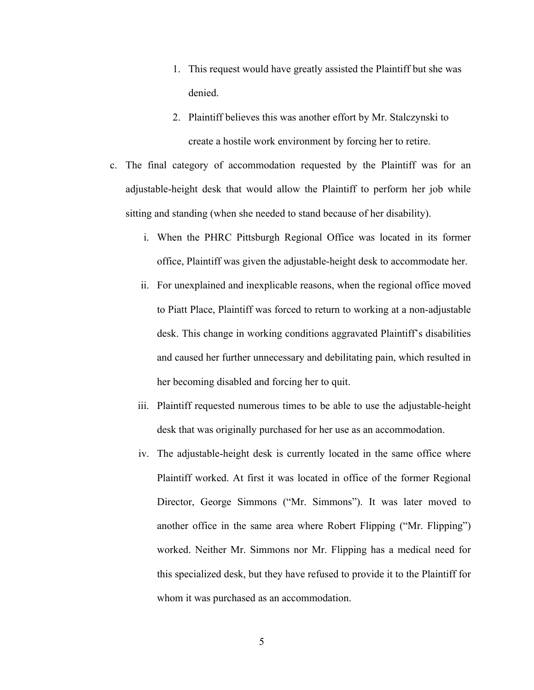- 1. This request would have greatly assisted the Plaintiff but she was denied.
- 2. Plaintiff believes this was another effort by Mr. Stalczynski to create a hostile work environment by forcing her to retire.
- c. The final category of accommodation requested by the Plaintiff was for an adjustable-height desk that would allow the Plaintiff to perform her job while sitting and standing (when she needed to stand because of her disability).
	- i. When the PHRC Pittsburgh Regional Office was located in its former office, Plaintiff was given the adjustable-height desk to accommodate her.
	- ii. For unexplained and inexplicable reasons, when the regional office moved to Piatt Place, Plaintiff was forced to return to working at a non-adjustable desk. This change in working conditions aggravated Plaintiff's disabilities and caused her further unnecessary and debilitating pain, which resulted in her becoming disabled and forcing her to quit.
	- iii. Plaintiff requested numerous times to be able to use the adjustable-height desk that was originally purchased for her use as an accommodation.
	- iv. The adjustable-height desk is currently located in the same office where Plaintiff worked. At first it was located in office of the former Regional Director, George Simmons ("Mr. Simmons"). It was later moved to another office in the same area where Robert Flipping ("Mr. Flipping") worked. Neither Mr. Simmons nor Mr. Flipping has a medical need for this specialized desk, but they have refused to provide it to the Plaintiff for whom it was purchased as an accommodation.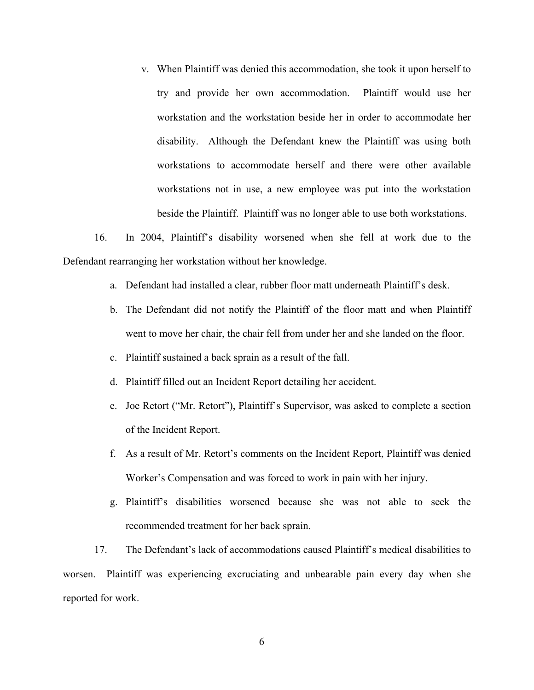v. When Plaintiff was denied this accommodation, she took it upon herself to try and provide her own accommodation. Plaintiff would use her workstation and the workstation beside her in order to accommodate her disability. Although the Defendant knew the Plaintiff was using both workstations to accommodate herself and there were other available workstations not in use, a new employee was put into the workstation beside the Plaintiff. Plaintiff was no longer able to use both workstations.

16. In 2004, Plaintiff's disability worsened when she fell at work due to the Defendant rearranging her workstation without her knowledge.

- a. Defendant had installed a clear, rubber floor matt underneath Plaintiff's desk.
- b. The Defendant did not notify the Plaintiff of the floor matt and when Plaintiff went to move her chair, the chair fell from under her and she landed on the floor.
- c. Plaintiff sustained a back sprain as a result of the fall.
- d. Plaintiff filled out an Incident Report detailing her accident.
- e. Joe Retort ("Mr. Retort"), Plaintiff's Supervisor, was asked to complete a section of the Incident Report.
- f. As a result of Mr. Retort's comments on the Incident Report, Plaintiff was denied Worker's Compensation and was forced to work in pain with her injury.
- g. Plaintiff's disabilities worsened because she was not able to seek the recommended treatment for her back sprain.

17. The Defendant's lack of accommodations caused Plaintiff's medical disabilities to worsen. Plaintiff was experiencing excruciating and unbearable pain every day when she reported for work.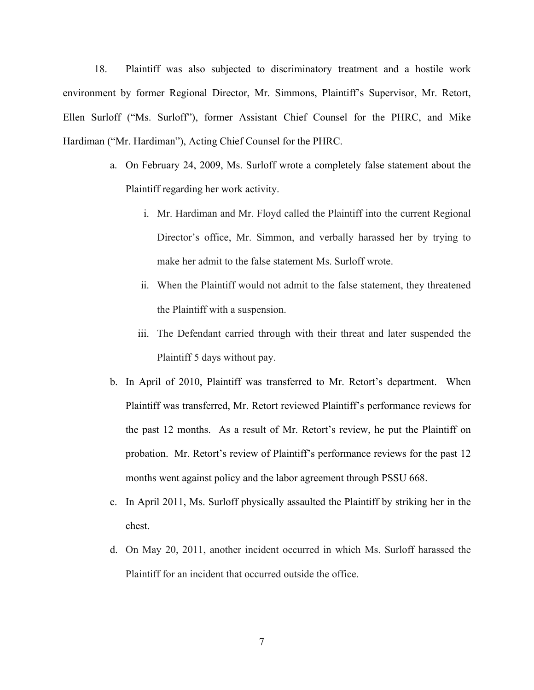18. Plaintiff was also subjected to discriminatory treatment and a hostile work environment by former Regional Director, Mr. Simmons, Plaintiff's Supervisor, Mr. Retort, Ellen Surloff ("Ms. Surloff"), former Assistant Chief Counsel for the PHRC, and Mike Hardiman ("Mr. Hardiman"), Acting Chief Counsel for the PHRC.

- a. On February 24, 2009, Ms. Surloff wrote a completely false statement about the Plaintiff regarding her work activity.
	- i. Mr. Hardiman and Mr. Floyd called the Plaintiff into the current Regional Director's office, Mr. Simmon, and verbally harassed her by trying to make her admit to the false statement Ms. Surloff wrote.
	- ii. When the Plaintiff would not admit to the false statement, they threatened the Plaintiff with a suspension.
	- iii. The Defendant carried through with their threat and later suspended the Plaintiff 5 days without pay.
- b. In April of 2010, Plaintiff was transferred to Mr. Retort's department. When Plaintiff was transferred, Mr. Retort reviewed Plaintiff's performance reviews for the past 12 months. As a result of Mr. Retort's review, he put the Plaintiff on probation. Mr. Retort's review of Plaintiff's performance reviews for the past 12 months went against policy and the labor agreement through PSSU 668.
- c. In April 2011, Ms. Surloff physically assaulted the Plaintiff by striking her in the chest.
- d. On May 20, 2011, another incident occurred in which Ms. Surloff harassed the Plaintiff for an incident that occurred outside the office.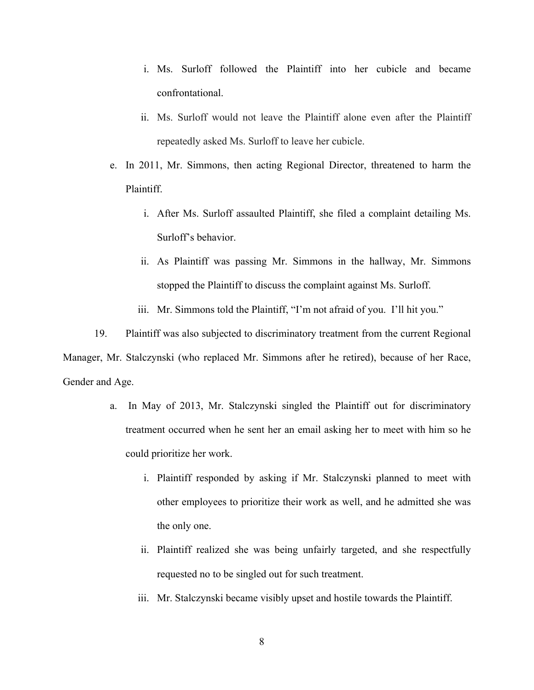- i. Ms. Surloff followed the Plaintiff into her cubicle and became confrontational.
- ii. Ms. Surloff would not leave the Plaintiff alone even after the Plaintiff repeatedly asked Ms. Surloff to leave her cubicle.
- e. In 2011, Mr. Simmons, then acting Regional Director, threatened to harm the Plaintiff.
	- i. After Ms. Surloff assaulted Plaintiff, she filed a complaint detailing Ms. Surloff's behavior.
	- ii. As Plaintiff was passing Mr. Simmons in the hallway, Mr. Simmons stopped the Plaintiff to discuss the complaint against Ms. Surloff.
	- iii. Mr. Simmons told the Plaintiff, "I'm not afraid of you. I'll hit you."

19. Plaintiff was also subjected to discriminatory treatment from the current Regional Manager, Mr. Stalczynski (who replaced Mr. Simmons after he retired), because of her Race, Gender and Age.

- a. In May of 2013, Mr. Stalczynski singled the Plaintiff out for discriminatory treatment occurred when he sent her an email asking her to meet with him so he could prioritize her work.
	- i. Plaintiff responded by asking if Mr. Stalczynski planned to meet with other employees to prioritize their work as well, and he admitted she was the only one.
	- ii. Plaintiff realized she was being unfairly targeted, and she respectfully requested no to be singled out for such treatment.
	- iii. Mr. Stalczynski became visibly upset and hostile towards the Plaintiff.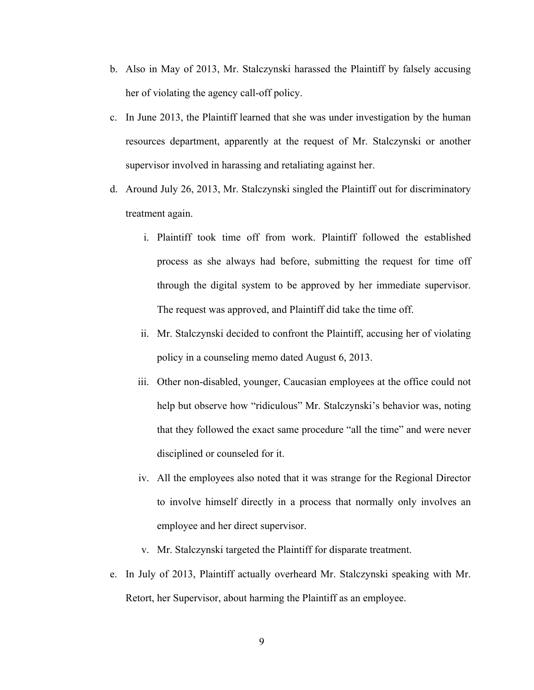- b. Also in May of 2013, Mr. Stalczynski harassed the Plaintiff by falsely accusing her of violating the agency call-off policy.
- c. In June 2013, the Plaintiff learned that she was under investigation by the human resources department, apparently at the request of Mr. Stalczynski or another supervisor involved in harassing and retaliating against her.
- d. Around July 26, 2013, Mr. Stalczynski singled the Plaintiff out for discriminatory treatment again.
	- i. Plaintiff took time off from work. Plaintiff followed the established process as she always had before, submitting the request for time off through the digital system to be approved by her immediate supervisor. The request was approved, and Plaintiff did take the time off.
	- ii. Mr. Stalczynski decided to confront the Plaintiff, accusing her of violating policy in a counseling memo dated August 6, 2013.
	- iii. Other non-disabled, younger, Caucasian employees at the office could not help but observe how "ridiculous" Mr. Stalczynski's behavior was, noting that they followed the exact same procedure "all the time" and were never disciplined or counseled for it.
	- iv. All the employees also noted that it was strange for the Regional Director to involve himself directly in a process that normally only involves an employee and her direct supervisor.
	- v. Mr. Stalczynski targeted the Plaintiff for disparate treatment.
- e. In July of 2013, Plaintiff actually overheard Mr. Stalczynski speaking with Mr. Retort, her Supervisor, about harming the Plaintiff as an employee.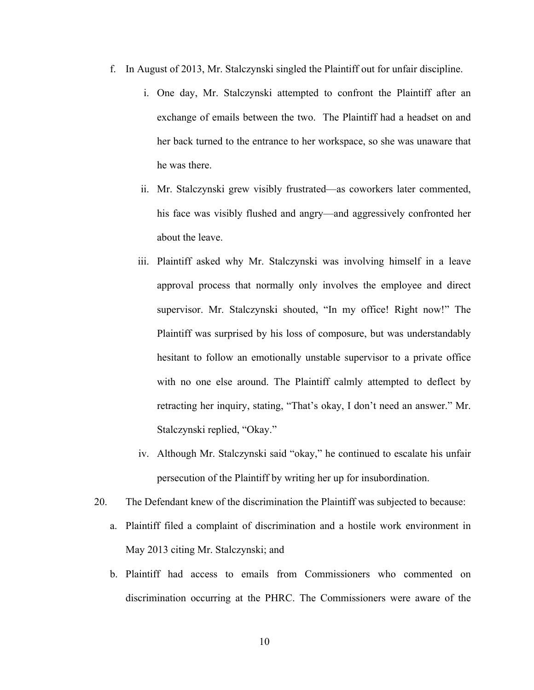- f. In August of 2013, Mr. Stalczynski singled the Plaintiff out for unfair discipline.
	- i. One day, Mr. Stalczynski attempted to confront the Plaintiff after an exchange of emails between the two. The Plaintiff had a headset on and her back turned to the entrance to her workspace, so she was unaware that he was there.
	- ii. Mr. Stalczynski grew visibly frustrated—as coworkers later commented, his face was visibly flushed and angry—and aggressively confronted her about the leave.
	- iii. Plaintiff asked why Mr. Stalczynski was involving himself in a leave approval process that normally only involves the employee and direct supervisor. Mr. Stalczynski shouted, "In my office! Right now!" The Plaintiff was surprised by his loss of composure, but was understandably hesitant to follow an emotionally unstable supervisor to a private office with no one else around. The Plaintiff calmly attempted to deflect by retracting her inquiry, stating, "That's okay, I don't need an answer." Mr. Stalczynski replied, "Okay."
	- iv. Although Mr. Stalczynski said "okay," he continued to escalate his unfair persecution of the Plaintiff by writing her up for insubordination.
- 20. The Defendant knew of the discrimination the Plaintiff was subjected to because:
	- a. Plaintiff filed a complaint of discrimination and a hostile work environment in May 2013 citing Mr. Stalczynski; and
	- b. Plaintiff had access to emails from Commissioners who commented on discrimination occurring at the PHRC. The Commissioners were aware of the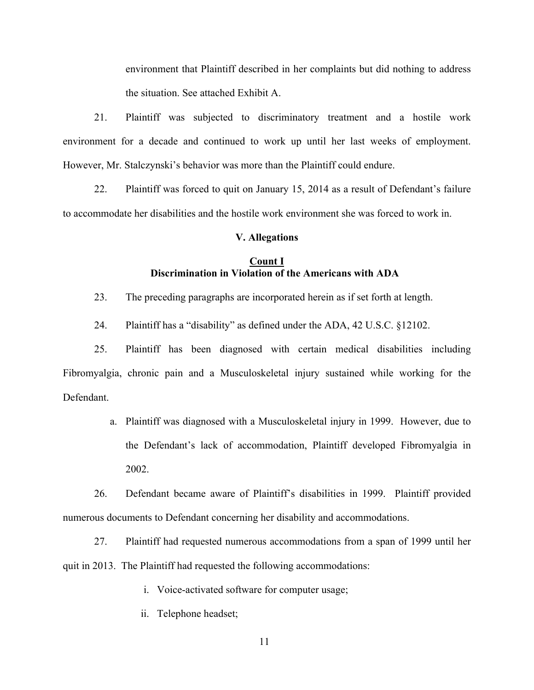environment that Plaintiff described in her complaints but did nothing to address the situation. See attached Exhibit A.

21. Plaintiff was subjected to discriminatory treatment and a hostile work environment for a decade and continued to work up until her last weeks of employment. However, Mr. Stalczynski's behavior was more than the Plaintiff could endure.

22. Plaintiff was forced to quit on January 15, 2014 as a result of Defendant's failure to accommodate her disabilities and the hostile work environment she was forced to work in.

#### **V. Allegations**

### **Count I Discrimination in Violation of the Americans with ADA**

23. The preceding paragraphs are incorporated herein as if set forth at length.

24. Plaintiff has a "disability" as defined under the ADA, 42 U.S.C. §12102.

25. Plaintiff has been diagnosed with certain medical disabilities including Fibromyalgia, chronic pain and a Musculoskeletal injury sustained while working for the Defendant.

> a. Plaintiff was diagnosed with a Musculoskeletal injury in 1999. However, due to the Defendant's lack of accommodation, Plaintiff developed Fibromyalgia in 2002.

26. Defendant became aware of Plaintiff's disabilities in 1999. Plaintiff provided numerous documents to Defendant concerning her disability and accommodations.

27. Plaintiff had requested numerous accommodations from a span of 1999 until her quit in 2013. The Plaintiff had requested the following accommodations:

i. Voice-activated software for computer usage;

ii. Telephone headset;

11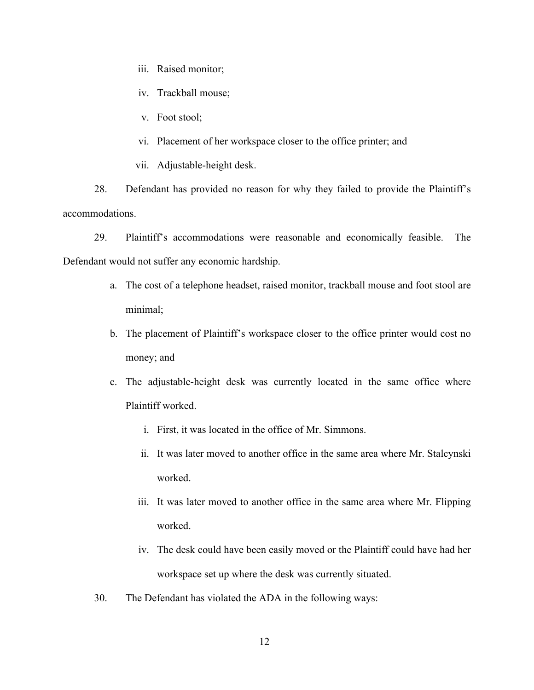- iii. Raised monitor;
- iv. Trackball mouse;
- v. Foot stool;
- vi. Placement of her workspace closer to the office printer; and
- vii. Adjustable-height desk.

28. Defendant has provided no reason for why they failed to provide the Plaintiff's accommodations.

29. Plaintiff's accommodations were reasonable and economically feasible. The Defendant would not suffer any economic hardship.

- a. The cost of a telephone headset, raised monitor, trackball mouse and foot stool are minimal;
- b. The placement of Plaintiff's workspace closer to the office printer would cost no money; and
- c. The adjustable-height desk was currently located in the same office where Plaintiff worked.
	- i. First, it was located in the office of Mr. Simmons.
	- ii. It was later moved to another office in the same area where Mr. Stalcynski worked.
	- iii. It was later moved to another office in the same area where Mr. Flipping worked.
	- iv. The desk could have been easily moved or the Plaintiff could have had her workspace set up where the desk was currently situated.
- 30. The Defendant has violated the ADA in the following ways: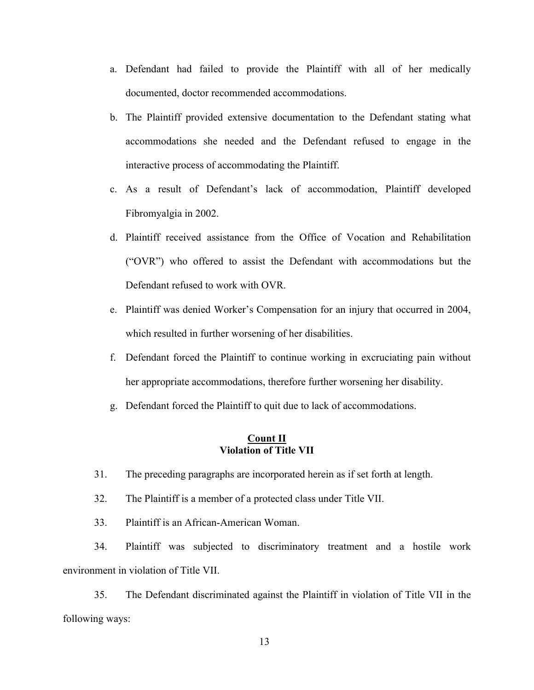- a. Defendant had failed to provide the Plaintiff with all of her medically documented, doctor recommended accommodations.
- b. The Plaintiff provided extensive documentation to the Defendant stating what accommodations she needed and the Defendant refused to engage in the interactive process of accommodating the Plaintiff.
- c. As a result of Defendant's lack of accommodation, Plaintiff developed Fibromyalgia in 2002.
- d. Plaintiff received assistance from the Office of Vocation and Rehabilitation ("OVR") who offered to assist the Defendant with accommodations but the Defendant refused to work with OVR.
- e. Plaintiff was denied Worker's Compensation for an injury that occurred in 2004, which resulted in further worsening of her disabilities.
- f. Defendant forced the Plaintiff to continue working in excruciating pain without her appropriate accommodations, therefore further worsening her disability.
- g. Defendant forced the Plaintiff to quit due to lack of accommodations.

## **Count II Violation of Title VII**

- 31. The preceding paragraphs are incorporated herein as if set forth at length.
- 32. The Plaintiff is a member of a protected class under Title VII.
- 33. Plaintiff is an African-American Woman.

34. Plaintiff was subjected to discriminatory treatment and a hostile work environment in violation of Title VII.

35. The Defendant discriminated against the Plaintiff in violation of Title VII in the following ways: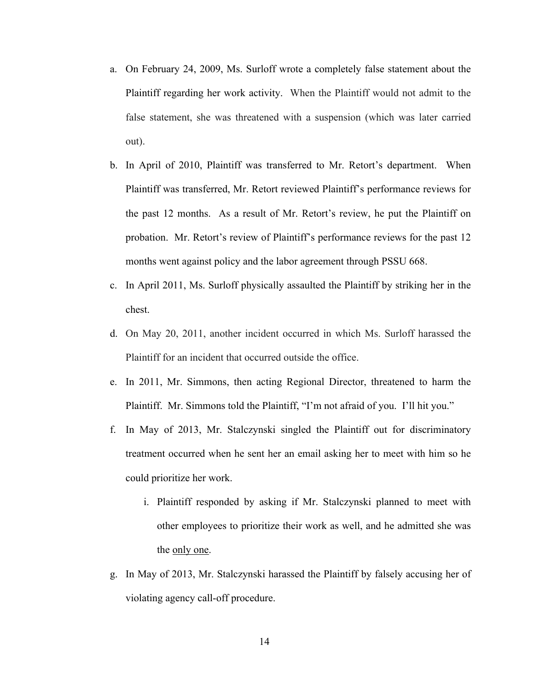- a. On February 24, 2009, Ms. Surloff wrote a completely false statement about the Plaintiff regarding her work activity. When the Plaintiff would not admit to the false statement, she was threatened with a suspension (which was later carried out).
- b. In April of 2010, Plaintiff was transferred to Mr. Retort's department. When Plaintiff was transferred, Mr. Retort reviewed Plaintiff's performance reviews for the past 12 months. As a result of Mr. Retort's review, he put the Plaintiff on probation. Mr. Retort's review of Plaintiff's performance reviews for the past 12 months went against policy and the labor agreement through PSSU 668.
- c. In April 2011, Ms. Surloff physically assaulted the Plaintiff by striking her in the chest.
- d. On May 20, 2011, another incident occurred in which Ms. Surloff harassed the Plaintiff for an incident that occurred outside the office.
- e. In 2011, Mr. Simmons, then acting Regional Director, threatened to harm the Plaintiff. Mr. Simmons told the Plaintiff, "I'm not afraid of you. I'll hit you."
- f. In May of 2013, Mr. Stalczynski singled the Plaintiff out for discriminatory treatment occurred when he sent her an email asking her to meet with him so he could prioritize her work.
	- i. Plaintiff responded by asking if Mr. Stalczynski planned to meet with other employees to prioritize their work as well, and he admitted she was the only one.
- g. In May of 2013, Mr. Stalczynski harassed the Plaintiff by falsely accusing her of violating agency call-off procedure.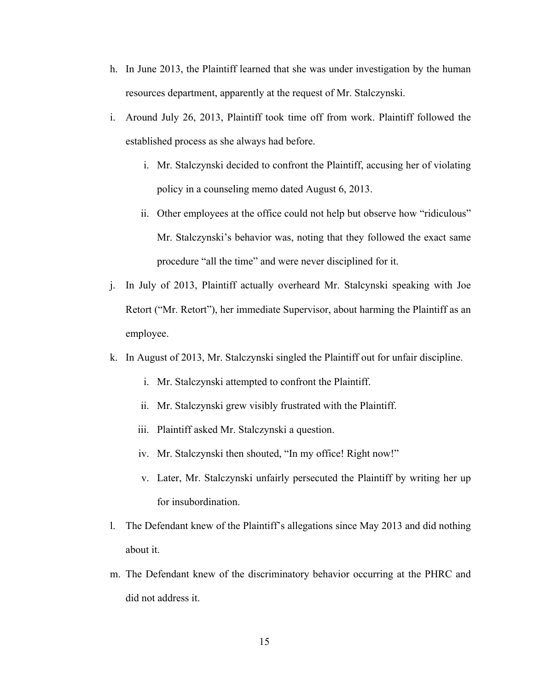- h. In June 2013, the Plaintiff learned that she was under investigation by the human resources department, apparently at the request of Mr. Stalczynski.
- i. Around July 26, 2013, Plaintiff took time off from work. Plaintiff followed the established process as she always had before.
	- i. Mr. Stalczynski decided to confront the Plaintiff, accusing her of violating policy in a counseling memo dated August 6, 2013.
	- ii. Other employees at the office could not help but observe how "ridiculous" Mr. Stalczynski's behavior was, noting that they followed the exact same procedure "all the time" and were never disciplined for it.
- j. In July of 2013, Plaintiff actually overheard Mr. Stalcynski speaking with Joe Retort ("Mr. Retort"), her immediate Supervisor, about harming the Plaintiff as an employee.
- k. In August of 2013, Mr. Stalczynski singled the Plaintiff out for unfair discipline.
	- i. Mr. Stalczynski attempted to confront the Plaintiff.
	- ii. Mr. Stalczynski grew visibly frustrated with the Plaintiff.
	- iii. Plaintiff asked Mr. Stalczynski a question.
	- iv. Mr. Stalczynski then shouted, "In my office! Right now!"
	- v. Later, Mr. Stalczynski unfairly persecuted the Plaintiff by writing her up for insubordination.
- l. The Defendant knew of the Plaintiff's allegations since May 2013 and did nothing about it.
- m. The Defendant knew of the discriminatory behavior occurring at the PHRC and did not address it.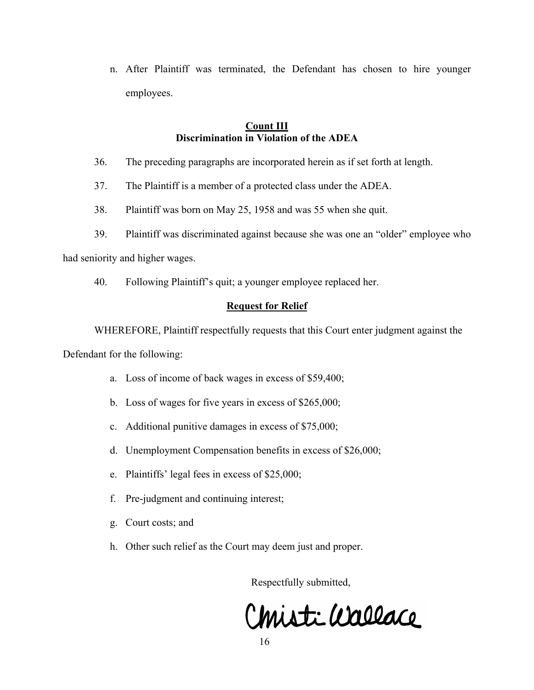n. After Plaintiff was terminated, the Defendant has chosen to hire younger employees.

## **Count III Discrimination in Violation of the ADEA**

- 36. The preceding paragraphs are incorporated herein as if set forth at length.
- 37. The Plaintiff is a member of a protected class under the ADEA.
- 38. Plaintiff was born on May 25, 1958 and was 55 when she quit.
- 39. Plaintiff was discriminated against because she was one an "older" employee who

had seniority and higher wages.

40. Following Plaintiff's quit; a younger employee replaced her.

# **Request for Relief**

WHEREFORE, Plaintiff respectfully requests that this Court enter judgment against the

Defendant for the following:

- a. Loss of income of back wages in excess of \$59,400;
- b. Loss of wages for five years in excess of \$265,000;
- c. Additional punitive damages in excess of \$75,000;
- d. Unemployment Compensation benefits in excess of \$26,000;
- e. Plaintiffs' legal fees in excess of \$25,000;
- f. Pre-judgment and continuing interest;
- g. Court costs; and
- h. Other such relief as the Court may deem just and proper.

Respectfully submitted,

Christi Wallace